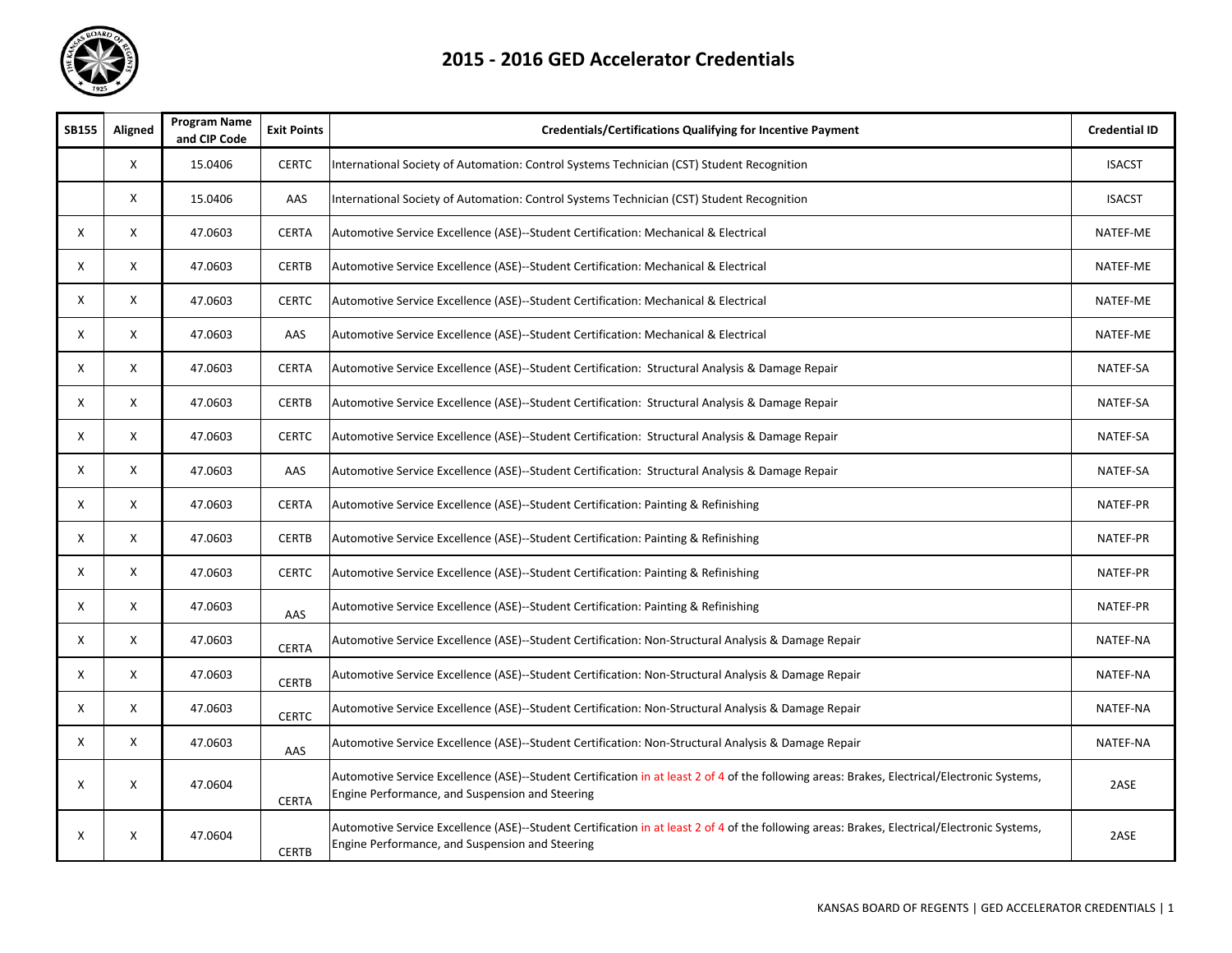

| <b>SB155</b> | Aligned                   | <b>Program Name</b><br>and CIP Code | <b>Exit Points</b> | <b>Credentials/Certifications Qualifying for Incentive Payment</b>                                                                                                                              | <b>Credential ID</b> |
|--------------|---------------------------|-------------------------------------|--------------------|-------------------------------------------------------------------------------------------------------------------------------------------------------------------------------------------------|----------------------|
|              | X                         | 15.0406                             | <b>CERTC</b>       | International Society of Automation: Control Systems Technician (CST) Student Recognition                                                                                                       | <b>ISACST</b>        |
|              | X                         | 15.0406                             | AAS                | International Society of Automation: Control Systems Technician (CST) Student Recognition                                                                                                       | <b>ISACST</b>        |
| Χ            | X                         | 47.0603                             | <b>CERTA</b>       | Automotive Service Excellence (ASE)--Student Certification: Mechanical & Electrical                                                                                                             | NATEF-ME             |
| X            | X                         | 47.0603                             | <b>CERTB</b>       | Automotive Service Excellence (ASE)--Student Certification: Mechanical & Electrical                                                                                                             | NATEF-ME             |
| Χ            | $\boldsymbol{\mathsf{x}}$ | 47.0603                             | <b>CERTC</b>       | Automotive Service Excellence (ASE)--Student Certification: Mechanical & Electrical                                                                                                             | NATEF-ME             |
| Х            | X                         | 47.0603                             | AAS                | Automotive Service Excellence (ASE)--Student Certification: Mechanical & Electrical                                                                                                             | NATEF-ME             |
| Χ            | X                         | 47.0603                             | <b>CERTA</b>       | Automotive Service Excellence (ASE)--Student Certification: Structural Analysis & Damage Repair                                                                                                 | NATEF-SA             |
| X            | $\boldsymbol{\mathsf{x}}$ | 47.0603                             | <b>CERTB</b>       | Automotive Service Excellence (ASE)--Student Certification: Structural Analysis & Damage Repair                                                                                                 | NATEF-SA             |
| Χ            | X                         | 47.0603                             | <b>CERTC</b>       | Automotive Service Excellence (ASE)--Student Certification: Structural Analysis & Damage Repair                                                                                                 | NATEF-SA             |
| Χ            | Χ                         | 47.0603                             | AAS                | Automotive Service Excellence (ASE)--Student Certification: Structural Analysis & Damage Repair                                                                                                 | NATEF-SA             |
| X            | X                         | 47.0603                             | <b>CERTA</b>       | Automotive Service Excellence (ASE)--Student Certification: Painting & Refinishing                                                                                                              | NATEF-PR             |
| Χ            | $\boldsymbol{\mathsf{X}}$ | 47.0603                             | <b>CERTB</b>       | Automotive Service Excellence (ASE)--Student Certification: Painting & Refinishing                                                                                                              | NATEF-PR             |
| X            | $\times$                  | 47.0603                             | <b>CERTC</b>       | Automotive Service Excellence (ASE)--Student Certification: Painting & Refinishing                                                                                                              | NATEF-PR             |
| X            | X                         | 47.0603                             | AAS                | Automotive Service Excellence (ASE)--Student Certification: Painting & Refinishing                                                                                                              | NATEF-PR             |
| X            | X                         | 47.0603                             | <b>CERTA</b>       | Automotive Service Excellence (ASE)--Student Certification: Non-Structural Analysis & Damage Repair                                                                                             | NATEF-NA             |
| Χ            | X                         | 47.0603                             | <b>CERTB</b>       | Automotive Service Excellence (ASE)--Student Certification: Non-Structural Analysis & Damage Repair                                                                                             | NATEF-NA             |
| X            | X                         | 47.0603                             | <b>CERTC</b>       | Automotive Service Excellence (ASE)--Student Certification: Non-Structural Analysis & Damage Repair                                                                                             | NATEF-NA             |
| X            | X                         | 47.0603                             | AAS                | Automotive Service Excellence (ASE)--Student Certification: Non-Structural Analysis & Damage Repair                                                                                             | NATEF-NA             |
| X            | $\boldsymbol{\mathsf{X}}$ | 47.0604                             | <b>CERTA</b>       | Automotive Service Excellence (ASE)--Student Certification in at least 2 of 4 of the following areas: Brakes, Electrical/Electronic Systems,<br>Engine Performance, and Suspension and Steering | 2ASE                 |
| Χ            | X                         | 47.0604                             | <b>CERTB</b>       | Automotive Service Excellence (ASE)--Student Certification in at least 2 of 4 of the following areas: Brakes, Electrical/Electronic Systems,<br>Engine Performance, and Suspension and Steering | 2ASE                 |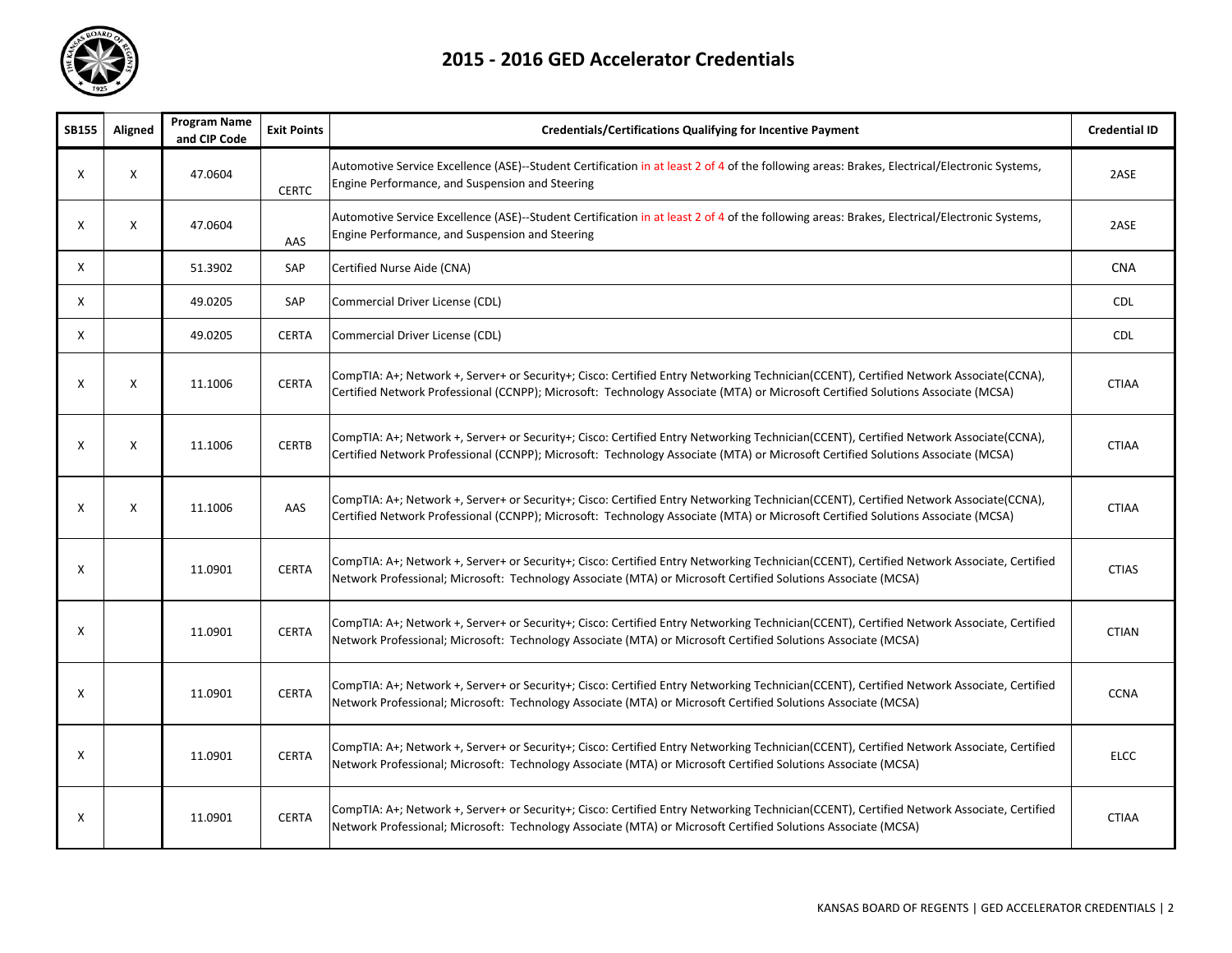

| <b>SB155</b> | Aligned | <b>Program Name</b><br>and CIP Code | <b>Exit Points</b> | <b>Credentials/Certifications Qualifying for Incentive Payment</b>                                                                                                                                                                                                       | <b>Credential ID</b> |
|--------------|---------|-------------------------------------|--------------------|--------------------------------------------------------------------------------------------------------------------------------------------------------------------------------------------------------------------------------------------------------------------------|----------------------|
| X            | X       | 47.0604                             | <b>CERTC</b>       | Automotive Service Excellence (ASE)--Student Certification in at least 2 of 4 of the following areas: Brakes, Electrical/Electronic Systems,<br>Engine Performance, and Suspension and Steering                                                                          | 2ASE                 |
| X            | X       | 47.0604                             | AAS                | Automotive Service Excellence (ASE)--Student Certification in at least 2 of 4 of the following areas: Brakes, Electrical/Electronic Systems,<br>Engine Performance, and Suspension and Steering                                                                          | 2ASE                 |
| Χ            |         | 51.3902                             | SAP                | Certified Nurse Aide (CNA)                                                                                                                                                                                                                                               | <b>CNA</b>           |
| X            |         | 49.0205                             | SAP                | Commercial Driver License (CDL)                                                                                                                                                                                                                                          | <b>CDL</b>           |
| X            |         | 49.0205                             | <b>CERTA</b>       | Commercial Driver License (CDL)                                                                                                                                                                                                                                          | <b>CDL</b>           |
| Χ            | X       | 11.1006                             | <b>CERTA</b>       | CompTIA: A+; Network +, Server+ or Security+; Cisco: Certified Entry Networking Technician(CCENT), Certified Network Associate(CCNA),<br>Certified Network Professional (CCNPP); Microsoft: Technology Associate (MTA) or Microsoft Certified Solutions Associate (MCSA) | <b>CTIAA</b>         |
| Χ            | X       | 11.1006                             | <b>CERTB</b>       | CompTIA: A+; Network +, Server+ or Security+; Cisco: Certified Entry Networking Technician(CCENT), Certified Network Associate(CCNA),<br>Certified Network Professional (CCNPP); Microsoft: Technology Associate (MTA) or Microsoft Certified Solutions Associate (MCSA) | <b>CTIAA</b>         |
| х            | X       | 11.1006                             | AAS                | CompTIA: A+; Network +, Server+ or Security+; Cisco: Certified Entry Networking Technician(CCENT), Certified Network Associate(CCNA),<br>Certified Network Professional (CCNPP); Microsoft: Technology Associate (MTA) or Microsoft Certified Solutions Associate (MCSA) | <b>CTIAA</b>         |
| Χ            |         | 11.0901                             | <b>CERTA</b>       | CompTIA: A+; Network +, Server+ or Security+; Cisco: Certified Entry Networking Technician(CCENT), Certified Network Associate, Certified<br>Network Professional; Microsoft: Technology Associate (MTA) or Microsoft Certified Solutions Associate (MCSA)               | <b>CTIAS</b>         |
| X            |         | 11.0901                             | <b>CERTA</b>       | CompTIA: A+; Network +, Server+ or Security+; Cisco: Certified Entry Networking Technician(CCENT), Certified Network Associate, Certified<br>Network Professional; Microsoft: Technology Associate (MTA) or Microsoft Certified Solutions Associate (MCSA)               | <b>CTIAN</b>         |
| Χ            |         | 11.0901                             | <b>CERTA</b>       | CompTIA: A+; Network +, Server+ or Security+; Cisco: Certified Entry Networking Technician(CCENT), Certified Network Associate, Certified<br>Network Professional; Microsoft: Technology Associate (MTA) or Microsoft Certified Solutions Associate (MCSA)               | <b>CCNA</b>          |
| Χ            |         | 11.0901                             | <b>CERTA</b>       | CompTIA: A+; Network +, Server+ or Security+; Cisco: Certified Entry Networking Technician(CCENT), Certified Network Associate, Certified<br>Network Professional; Microsoft: Technology Associate (MTA) or Microsoft Certified Solutions Associate (MCSA)               | <b>ELCC</b>          |
| х            |         | 11.0901                             | <b>CERTA</b>       | CompTIA: A+; Network +, Server+ or Security+; Cisco: Certified Entry Networking Technician(CCENT), Certified Network Associate, Certified<br>Network Professional; Microsoft: Technology Associate (MTA) or Microsoft Certified Solutions Associate (MCSA)               | <b>CTIAA</b>         |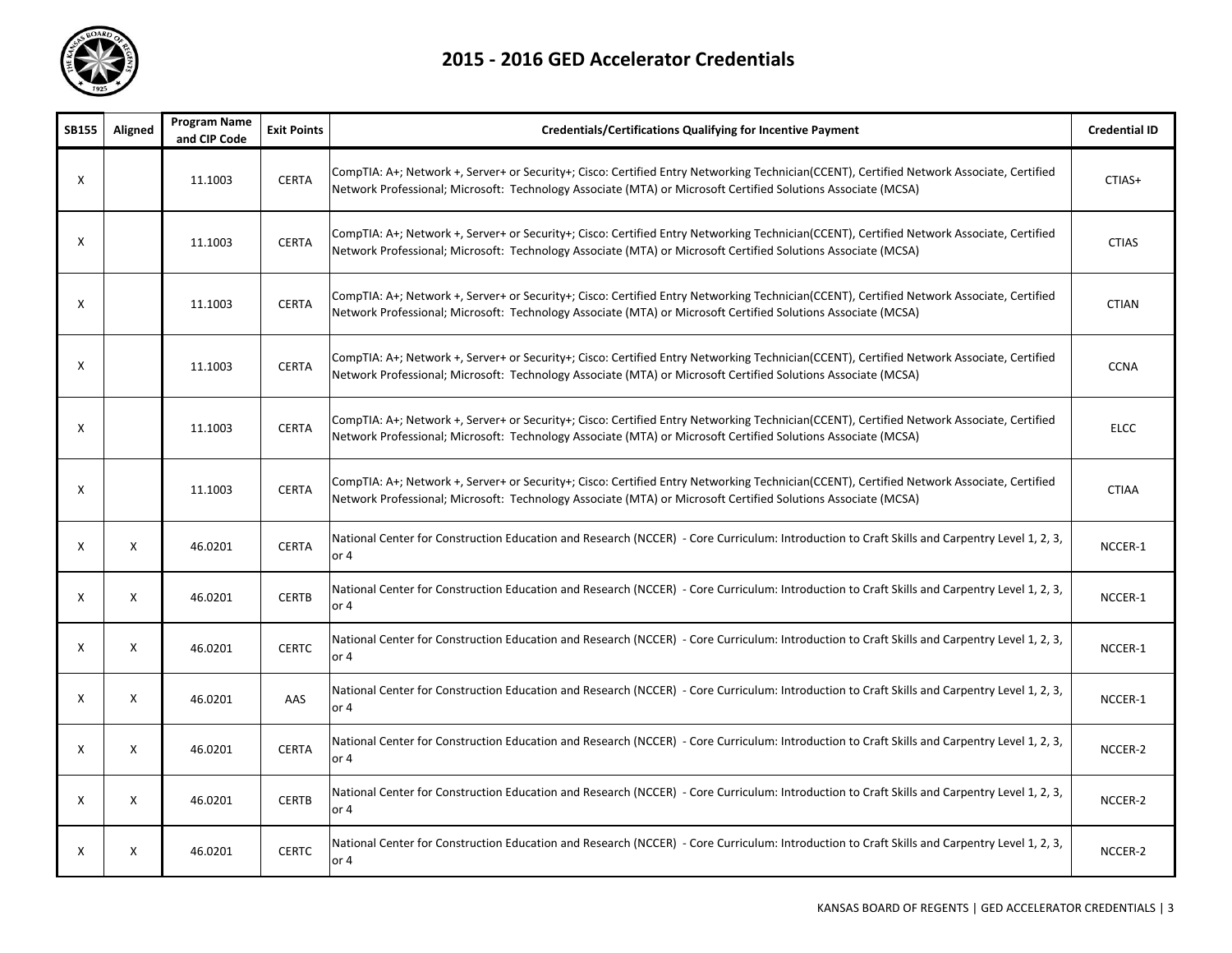

| <b>SB155</b> | Aligned      | <b>Program Name</b><br>and CIP Code | <b>Exit Points</b> | <b>Credentials/Certifications Qualifying for Incentive Payment</b>                                                                                                                                                                                         | <b>Credential ID</b> |
|--------------|--------------|-------------------------------------|--------------------|------------------------------------------------------------------------------------------------------------------------------------------------------------------------------------------------------------------------------------------------------------|----------------------|
| X            |              | 11.1003                             | <b>CERTA</b>       | CompTIA: A+; Network +, Server+ or Security+; Cisco: Certified Entry Networking Technician(CCENT), Certified Network Associate, Certified<br>Network Professional; Microsoft: Technology Associate (MTA) or Microsoft Certified Solutions Associate (MCSA) | CTIAS+               |
| X            |              | 11.1003                             | <b>CERTA</b>       | CompTIA: A+; Network +, Server+ or Security+; Cisco: Certified Entry Networking Technician(CCENT), Certified Network Associate, Certified<br>Network Professional; Microsoft: Technology Associate (MTA) or Microsoft Certified Solutions Associate (MCSA) | <b>CTIAS</b>         |
| X            |              | 11.1003                             | <b>CERTA</b>       | CompTIA: A+; Network +, Server+ or Security+; Cisco: Certified Entry Networking Technician(CCENT), Certified Network Associate, Certified<br>Network Professional; Microsoft: Technology Associate (MTA) or Microsoft Certified Solutions Associate (MCSA) | <b>CTIAN</b>         |
| Χ            |              | 11.1003                             | <b>CERTA</b>       | CompTIA: A+; Network +, Server+ or Security+; Cisco: Certified Entry Networking Technician(CCENT), Certified Network Associate, Certified<br>Network Professional; Microsoft: Technology Associate (MTA) or Microsoft Certified Solutions Associate (MCSA) | <b>CCNA</b>          |
| X            |              | 11.1003                             | <b>CERTA</b>       | CompTIA: A+; Network +, Server+ or Security+; Cisco: Certified Entry Networking Technician(CCENT), Certified Network Associate, Certified<br>Network Professional; Microsoft: Technology Associate (MTA) or Microsoft Certified Solutions Associate (MCSA) | <b>ELCC</b>          |
| Χ            |              | 11.1003                             | <b>CERTA</b>       | CompTIA: A+; Network +, Server+ or Security+; Cisco: Certified Entry Networking Technician(CCENT), Certified Network Associate, Certified<br>Network Professional; Microsoft: Technology Associate (MTA) or Microsoft Certified Solutions Associate (MCSA) | <b>CTIAA</b>         |
| X            | X            | 46.0201                             | <b>CERTA</b>       | National Center for Construction Education and Research (NCCER) - Core Curriculum: Introduction to Craft Skills and Carpentry Level 1, 2, 3,<br>or 4                                                                                                       | NCCER-1              |
| X            | X            | 46.0201                             | <b>CERTB</b>       | National Center for Construction Education and Research (NCCER) - Core Curriculum: Introduction to Craft Skills and Carpentry Level 1, 2, 3,<br>or $4$                                                                                                     | NCCER-1              |
| X            | X            | 46.0201                             | <b>CERTC</b>       | National Center for Construction Education and Research (NCCER) - Core Curriculum: Introduction to Craft Skills and Carpentry Level 1, 2, 3,<br>or $4$                                                                                                     | NCCER-1              |
| X            | $\mathsf{x}$ | 46.0201                             | AAS                | National Center for Construction Education and Research (NCCER) - Core Curriculum: Introduction to Craft Skills and Carpentry Level 1, 2, 3,<br>or $4$                                                                                                     | NCCER-1              |
| X            | X            | 46.0201                             | <b>CERTA</b>       | National Center for Construction Education and Research (NCCER) - Core Curriculum: Introduction to Craft Skills and Carpentry Level 1, 2, 3,<br>or $4$                                                                                                     | NCCER-2              |
| X            | X            | 46.0201                             | <b>CERTB</b>       | National Center for Construction Education and Research (NCCER) - Core Curriculum: Introduction to Craft Skills and Carpentry Level 1, 2, 3,<br>or $4$                                                                                                     | NCCER-2              |
| Χ            | X            | 46.0201                             | <b>CERTC</b>       | National Center for Construction Education and Research (NCCER) - Core Curriculum: Introduction to Craft Skills and Carpentry Level 1, 2, 3,<br>or $4$                                                                                                     | NCCER-2              |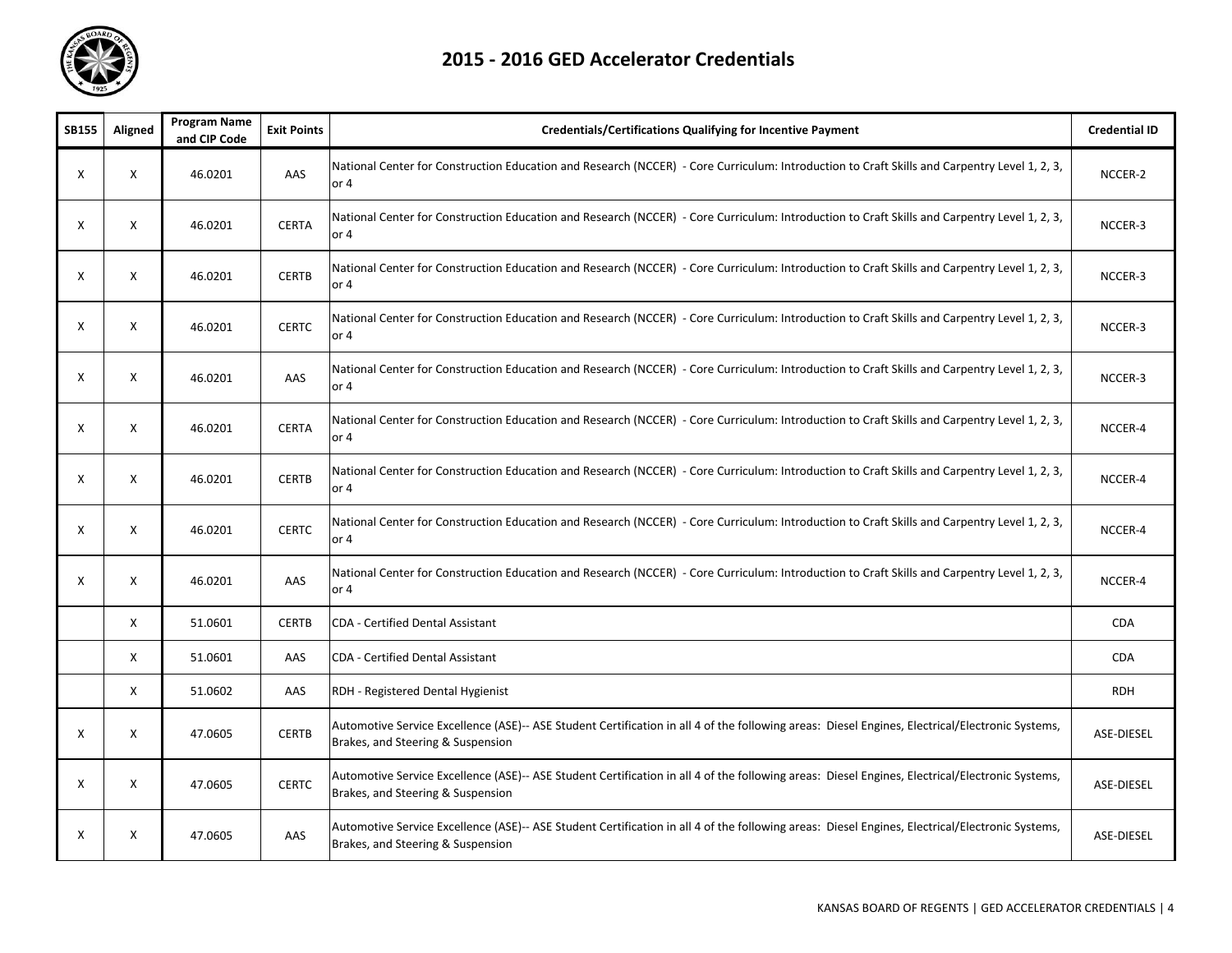

| <b>SB155</b> | Aligned                   | <b>Program Name</b><br>and CIP Code | <b>Exit Points</b> | <b>Credentials/Certifications Qualifying for Incentive Payment</b>                                                                                                                   | <b>Credential ID</b> |
|--------------|---------------------------|-------------------------------------|--------------------|--------------------------------------------------------------------------------------------------------------------------------------------------------------------------------------|----------------------|
| X            | $\times$                  | 46.0201                             | AAS                | National Center for Construction Education and Research (NCCER) - Core Curriculum: Introduction to Craft Skills and Carpentry Level 1, 2, 3,<br>or 4                                 | NCCER-2              |
| Χ            | $\boldsymbol{\mathsf{x}}$ | 46.0201                             | <b>CERTA</b>       | National Center for Construction Education and Research (NCCER) - Core Curriculum: Introduction to Craft Skills and Carpentry Level 1, 2, 3,<br>or 4                                 | NCCER-3              |
| Χ            | $\boldsymbol{\mathsf{x}}$ | 46.0201                             | <b>CERTB</b>       | National Center for Construction Education and Research (NCCER) - Core Curriculum: Introduction to Craft Skills and Carpentry Level 1, 2, 3,<br>or 4                                 | NCCER-3              |
| Χ            | $\boldsymbol{\mathsf{x}}$ | 46.0201                             | <b>CERTC</b>       | National Center for Construction Education and Research (NCCER) - Core Curriculum: Introduction to Craft Skills and Carpentry Level 1, 2, 3,<br>or 4                                 | NCCER-3              |
| Χ            | $\boldsymbol{\mathsf{X}}$ | 46.0201                             | AAS                | National Center for Construction Education and Research (NCCER) - Core Curriculum: Introduction to Craft Skills and Carpentry Level 1, 2, 3,<br>or 4                                 | NCCER-3              |
| X            | X                         | 46.0201                             | <b>CERTA</b>       | National Center for Construction Education and Research (NCCER) - Core Curriculum: Introduction to Craft Skills and Carpentry Level 1, 2, 3,<br>or 4                                 | NCCER-4              |
| X            | X                         | 46.0201                             | <b>CERTB</b>       | National Center for Construction Education and Research (NCCER) - Core Curriculum: Introduction to Craft Skills and Carpentry Level 1, 2, 3,<br>or 4                                 | NCCER-4              |
| Χ            | X                         | 46.0201                             | <b>CERTC</b>       | National Center for Construction Education and Research (NCCER) - Core Curriculum: Introduction to Craft Skills and Carpentry Level 1, 2, 3,<br>or $4$                               | NCCER-4              |
| X            | X                         | 46.0201                             | AAS                | National Center for Construction Education and Research (NCCER) - Core Curriculum: Introduction to Craft Skills and Carpentry Level 1, 2, 3,<br>or 4                                 | NCCER-4              |
|              | $\boldsymbol{\mathsf{x}}$ | 51.0601                             | <b>CERTB</b>       | CDA - Certified Dental Assistant                                                                                                                                                     | <b>CDA</b>           |
|              | X                         | 51.0601                             | AAS                | <b>CDA - Certified Dental Assistant</b>                                                                                                                                              | <b>CDA</b>           |
|              | $\boldsymbol{\mathsf{x}}$ | 51.0602                             | AAS                | RDH - Registered Dental Hygienist                                                                                                                                                    | <b>RDH</b>           |
| Χ            | X                         | 47.0605                             | <b>CERTB</b>       | Automotive Service Excellence (ASE)-- ASE Student Certification in all 4 of the following areas: Diesel Engines, Electrical/Electronic Systems,<br>Brakes, and Steering & Suspension | ASE-DIESEL           |
| Χ            | X                         | 47.0605                             | <b>CERTC</b>       | Automotive Service Excellence (ASE)-- ASE Student Certification in all 4 of the following areas: Diesel Engines, Electrical/Electronic Systems,<br>Brakes, and Steering & Suspension | ASE-DIESEL           |
| Χ            | X                         | 47.0605                             | AAS                | Automotive Service Excellence (ASE)-- ASE Student Certification in all 4 of the following areas: Diesel Engines, Electrical/Electronic Systems,<br>Brakes, and Steering & Suspension | ASE-DIESEL           |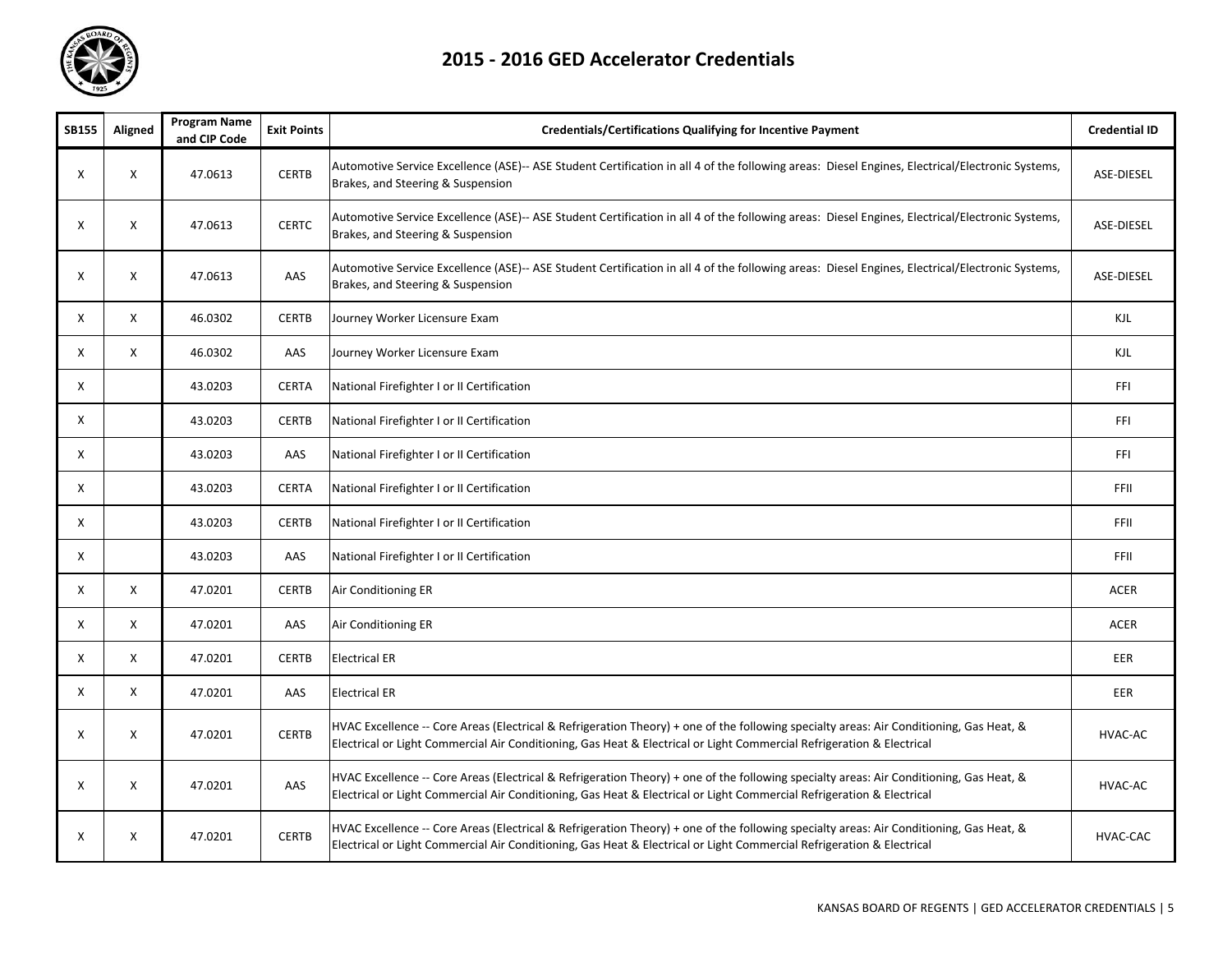

| <b>SB155</b> | Aligned      | <b>Program Name</b><br>and CIP Code | <b>Exit Points</b> | <b>Credentials/Certifications Qualifying for Incentive Payment</b>                                                                                                                                                                                               | <b>Credential ID</b> |
|--------------|--------------|-------------------------------------|--------------------|------------------------------------------------------------------------------------------------------------------------------------------------------------------------------------------------------------------------------------------------------------------|----------------------|
| X            | X            | 47.0613                             | <b>CERTB</b>       | Automotive Service Excellence (ASE)-- ASE Student Certification in all 4 of the following areas: Diesel Engines, Electrical/Electronic Systems,<br>Brakes, and Steering & Suspension                                                                             | <b>ASE-DIESEL</b>    |
| X            | X            | 47.0613                             | <b>CERTC</b>       | Automotive Service Excellence (ASE)-- ASE Student Certification in all 4 of the following areas: Diesel Engines, Electrical/Electronic Systems,<br>Brakes, and Steering & Suspension                                                                             | <b>ASE-DIESEL</b>    |
| Χ            | X            | 47.0613                             | AAS                | Automotive Service Excellence (ASE)-- ASE Student Certification in all 4 of the following areas: Diesel Engines, Electrical/Electronic Systems,<br>Brakes, and Steering & Suspension                                                                             | <b>ASE-DIESEL</b>    |
| X            | X            | 46.0302                             | <b>CERTB</b>       | Journey Worker Licensure Exam                                                                                                                                                                                                                                    | KJL                  |
| X            | X            | 46.0302                             | AAS                | Journey Worker Licensure Exam                                                                                                                                                                                                                                    | KJL                  |
| X            |              | 43.0203                             | <b>CERTA</b>       | National Firefighter I or II Certification                                                                                                                                                                                                                       | FFI                  |
| X            |              | 43.0203                             | <b>CERTB</b>       | National Firefighter I or II Certification                                                                                                                                                                                                                       | FFI                  |
| Χ            |              | 43.0203                             | AAS                | National Firefighter I or II Certification                                                                                                                                                                                                                       | FFI                  |
| X            |              | 43.0203                             | <b>CERTA</b>       | National Firefighter I or II Certification                                                                                                                                                                                                                       | <b>FFII</b>          |
| X            |              | 43.0203                             | <b>CERTB</b>       | National Firefighter I or II Certification                                                                                                                                                                                                                       | FFII                 |
| Χ            |              | 43.0203                             | AAS                | National Firefighter I or II Certification                                                                                                                                                                                                                       | FFII                 |
| X            | X            | 47.0201                             | <b>CERTB</b>       | Air Conditioning ER                                                                                                                                                                                                                                              | <b>ACER</b>          |
| X            | X            | 47.0201                             | AAS                | Air Conditioning ER                                                                                                                                                                                                                                              | ACER                 |
| Χ            | X            | 47.0201                             | <b>CERTB</b>       | <b>Electrical ER</b>                                                                                                                                                                                                                                             | EER                  |
| X            | X            | 47.0201                             | AAS                | <b>Electrical ER</b>                                                                                                                                                                                                                                             | EER                  |
| Χ            | X            | 47.0201                             | <b>CERTB</b>       | HVAC Excellence -- Core Areas (Electrical & Refrigeration Theory) + one of the following specialty areas: Air Conditioning, Gas Heat, &<br>Electrical or Light Commercial Air Conditioning, Gas Heat & Electrical or Light Commercial Refrigeration & Electrical | HVAC-AC              |
| X            | $\mathsf{X}$ | 47.0201                             | AAS                | HVAC Excellence -- Core Areas (Electrical & Refrigeration Theory) + one of the following specialty areas: Air Conditioning, Gas Heat, &<br>Electrical or Light Commercial Air Conditioning, Gas Heat & Electrical or Light Commercial Refrigeration & Electrical | HVAC-AC              |
| X            | X            | 47.0201                             | <b>CERTB</b>       | HVAC Excellence -- Core Areas (Electrical & Refrigeration Theory) + one of the following specialty areas: Air Conditioning, Gas Heat, &<br>Electrical or Light Commercial Air Conditioning, Gas Heat & Electrical or Light Commercial Refrigeration & Electrical | HVAC-CAC             |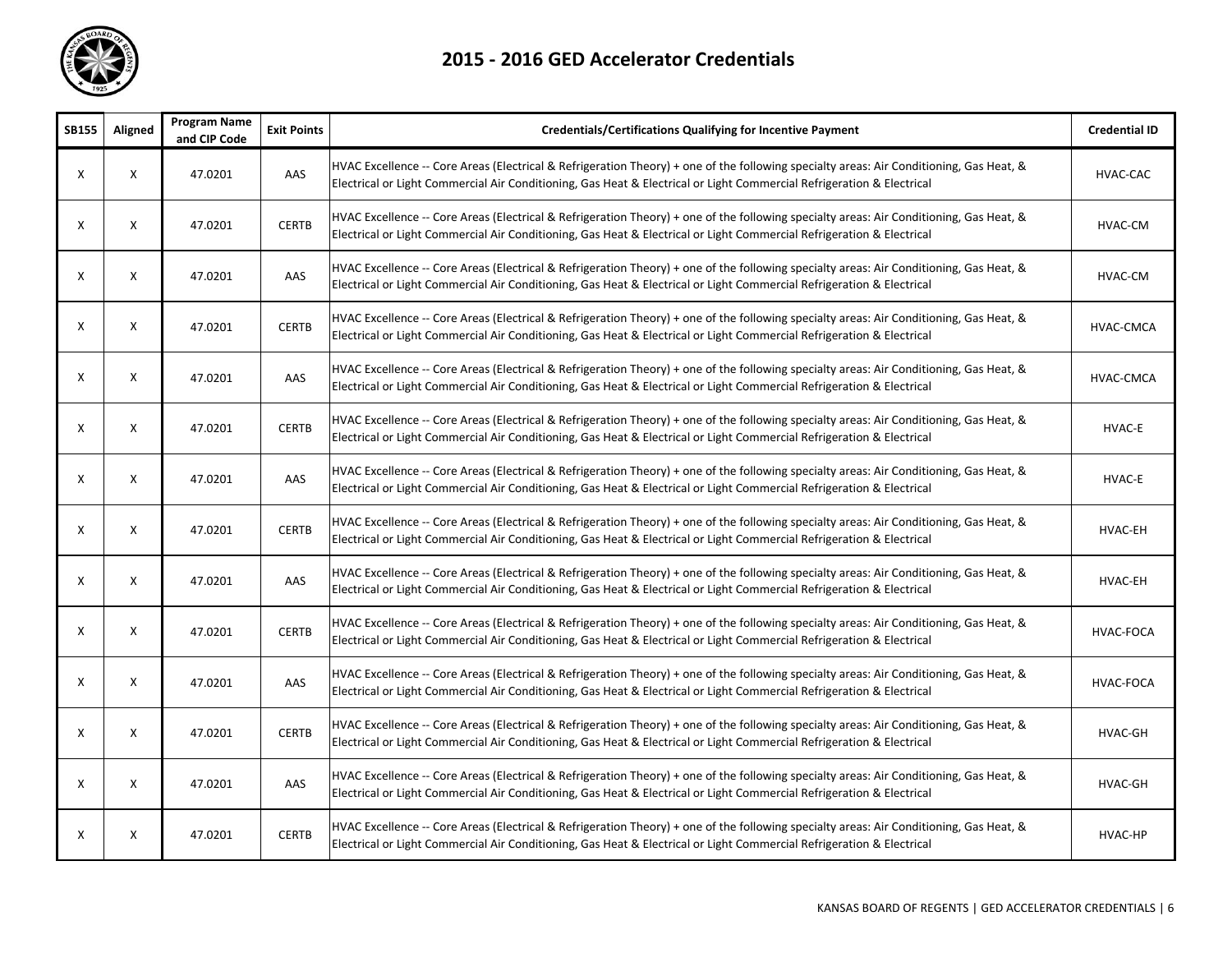

| <b>SB155</b> | Aligned | <b>Program Name</b><br>and CIP Code | <b>Exit Points</b> | <b>Credentials/Certifications Qualifying for Incentive Payment</b>                                                                                                                                                                                               | <b>Credential ID</b> |
|--------------|---------|-------------------------------------|--------------------|------------------------------------------------------------------------------------------------------------------------------------------------------------------------------------------------------------------------------------------------------------------|----------------------|
| Χ            | X       | 47.0201                             | AAS                | HVAC Excellence -- Core Areas (Electrical & Refrigeration Theory) + one of the following specialty areas: Air Conditioning, Gas Heat, &<br>Electrical or Light Commercial Air Conditioning, Gas Heat & Electrical or Light Commercial Refrigeration & Electrical | HVAC-CAC             |
| Χ            | X       | 47.0201                             | <b>CERTB</b>       | HVAC Excellence -- Core Areas (Electrical & Refrigeration Theory) + one of the following specialty areas: Air Conditioning, Gas Heat, &<br>Electrical or Light Commercial Air Conditioning, Gas Heat & Electrical or Light Commercial Refrigeration & Electrical | HVAC-CM              |
| X            | X       | 47.0201                             | AAS                | HVAC Excellence -- Core Areas (Electrical & Refrigeration Theory) + one of the following specialty areas: Air Conditioning, Gas Heat, &<br>Electrical or Light Commercial Air Conditioning, Gas Heat & Electrical or Light Commercial Refrigeration & Electrical | HVAC-CM              |
| X            | X       | 47.0201                             | <b>CERTB</b>       | HVAC Excellence -- Core Areas (Electrical & Refrigeration Theory) + one of the following specialty areas: Air Conditioning, Gas Heat, &<br>Electrical or Light Commercial Air Conditioning, Gas Heat & Electrical or Light Commercial Refrigeration & Electrical | HVAC-CMCA            |
| X            | X       | 47.0201                             | AAS                | HVAC Excellence -- Core Areas (Electrical & Refrigeration Theory) + one of the following specialty areas: Air Conditioning, Gas Heat, &<br>Electrical or Light Commercial Air Conditioning, Gas Heat & Electrical or Light Commercial Refrigeration & Electrical | HVAC-CMCA            |
| Χ            | X       | 47.0201                             | <b>CERTB</b>       | HVAC Excellence -- Core Areas (Electrical & Refrigeration Theory) + one of the following specialty areas: Air Conditioning, Gas Heat, &<br>Electrical or Light Commercial Air Conditioning, Gas Heat & Electrical or Light Commercial Refrigeration & Electrical | HVAC-E               |
| Χ            | X       | 47.0201                             | AAS                | HVAC Excellence -- Core Areas (Electrical & Refrigeration Theory) + one of the following specialty areas: Air Conditioning, Gas Heat, &<br>Electrical or Light Commercial Air Conditioning, Gas Heat & Electrical or Light Commercial Refrigeration & Electrical | HVAC-E               |
| X            | X       | 47.0201                             | <b>CERTB</b>       | HVAC Excellence -- Core Areas (Electrical & Refrigeration Theory) + one of the following specialty areas: Air Conditioning, Gas Heat, &<br>Electrical or Light Commercial Air Conditioning, Gas Heat & Electrical or Light Commercial Refrigeration & Electrical | HVAC-EH              |
| X            | X       | 47.0201                             | AAS                | HVAC Excellence -- Core Areas (Electrical & Refrigeration Theory) + one of the following specialty areas: Air Conditioning, Gas Heat, &<br>Electrical or Light Commercial Air Conditioning, Gas Heat & Electrical or Light Commercial Refrigeration & Electrical | HVAC-EH              |
| Χ            | X       | 47.0201                             | <b>CERTB</b>       | HVAC Excellence -- Core Areas (Electrical & Refrigeration Theory) + one of the following specialty areas: Air Conditioning, Gas Heat, &<br>Electrical or Light Commercial Air Conditioning, Gas Heat & Electrical or Light Commercial Refrigeration & Electrical | HVAC-FOCA            |
| X            | X       | 47.0201                             | AAS                | HVAC Excellence -- Core Areas (Electrical & Refrigeration Theory) + one of the following specialty areas: Air Conditioning, Gas Heat, &<br>Electrical or Light Commercial Air Conditioning, Gas Heat & Electrical or Light Commercial Refrigeration & Electrical | HVAC-FOCA            |
| $\mathsf{x}$ | X       | 47.0201                             | <b>CERTB</b>       | HVAC Excellence -- Core Areas (Electrical & Refrigeration Theory) + one of the following specialty areas: Air Conditioning, Gas Heat, &<br>Electrical or Light Commercial Air Conditioning, Gas Heat & Electrical or Light Commercial Refrigeration & Electrical | HVAC-GH              |
| X            | X       | 47.0201                             | AAS                | HVAC Excellence -- Core Areas (Electrical & Refrigeration Theory) + one of the following specialty areas: Air Conditioning, Gas Heat, &<br>Electrical or Light Commercial Air Conditioning, Gas Heat & Electrical or Light Commercial Refrigeration & Electrical | HVAC-GH              |
| Х            | X       | 47.0201                             | <b>CERTB</b>       | HVAC Excellence -- Core Areas (Electrical & Refrigeration Theory) + one of the following specialty areas: Air Conditioning, Gas Heat, &<br>Electrical or Light Commercial Air Conditioning, Gas Heat & Electrical or Light Commercial Refrigeration & Electrical | HVAC-HP              |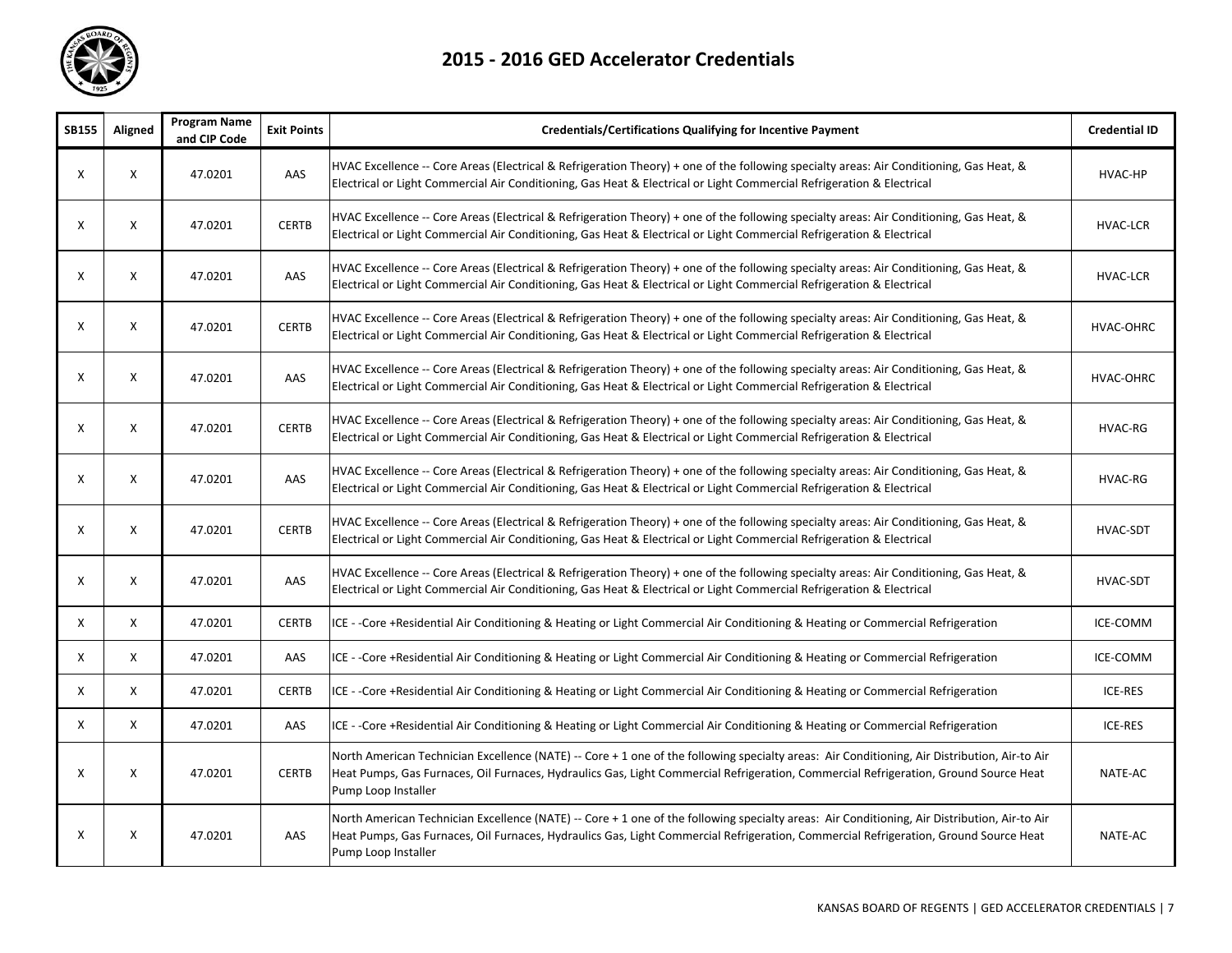

| <b>SB155</b> | Aligned                   | <b>Program Name</b><br>and CIP Code | <b>Exit Points</b> | <b>Credentials/Certifications Qualifying for Incentive Payment</b>                                                                                                                                                                                                                                          | <b>Credential ID</b> |
|--------------|---------------------------|-------------------------------------|--------------------|-------------------------------------------------------------------------------------------------------------------------------------------------------------------------------------------------------------------------------------------------------------------------------------------------------------|----------------------|
| Χ            | X                         | 47.0201                             | AAS                | HVAC Excellence -- Core Areas (Electrical & Refrigeration Theory) + one of the following specialty areas: Air Conditioning, Gas Heat, &<br>Electrical or Light Commercial Air Conditioning, Gas Heat & Electrical or Light Commercial Refrigeration & Electrical                                            | HVAC-HP              |
| Χ            | X                         | 47.0201                             | <b>CERTB</b>       | HVAC Excellence -- Core Areas (Electrical & Refrigeration Theory) + one of the following specialty areas: Air Conditioning, Gas Heat, &<br>Electrical or Light Commercial Air Conditioning, Gas Heat & Electrical or Light Commercial Refrigeration & Electrical                                            | <b>HVAC-LCR</b>      |
| Χ            | X                         | 47.0201                             | AAS                | HVAC Excellence -- Core Areas (Electrical & Refrigeration Theory) + one of the following specialty areas: Air Conditioning, Gas Heat, &<br>Electrical or Light Commercial Air Conditioning, Gas Heat & Electrical or Light Commercial Refrigeration & Electrical                                            | <b>HVAC-LCR</b>      |
| X            | X                         | 47.0201                             | <b>CERTB</b>       | HVAC Excellence -- Core Areas (Electrical & Refrigeration Theory) + one of the following specialty areas: Air Conditioning, Gas Heat, &<br>Electrical or Light Commercial Air Conditioning, Gas Heat & Electrical or Light Commercial Refrigeration & Electrical                                            | HVAC-OHRC            |
| Χ            | X                         | 47.0201                             | AAS                | HVAC Excellence -- Core Areas (Electrical & Refrigeration Theory) + one of the following specialty areas: Air Conditioning, Gas Heat, &<br>Electrical or Light Commercial Air Conditioning, Gas Heat & Electrical or Light Commercial Refrigeration & Electrical                                            | HVAC-OHRC            |
| Χ            | X                         | 47.0201                             | <b>CERTB</b>       | HVAC Excellence -- Core Areas (Electrical & Refrigeration Theory) + one of the following specialty areas: Air Conditioning, Gas Heat, &<br>Electrical or Light Commercial Air Conditioning, Gas Heat & Electrical or Light Commercial Refrigeration & Electrical                                            | HVAC-RG              |
| Х            | X                         | 47.0201                             | AAS                | HVAC Excellence -- Core Areas (Electrical & Refrigeration Theory) + one of the following specialty areas: Air Conditioning, Gas Heat, &<br>Electrical or Light Commercial Air Conditioning, Gas Heat & Electrical or Light Commercial Refrigeration & Electrical                                            | HVAC-RG              |
| Χ            | X                         | 47.0201                             | <b>CERTB</b>       | HVAC Excellence -- Core Areas (Electrical & Refrigeration Theory) + one of the following specialty areas: Air Conditioning, Gas Heat, &<br>Electrical or Light Commercial Air Conditioning, Gas Heat & Electrical or Light Commercial Refrigeration & Electrical                                            | HVAC-SDT             |
| Χ            | X                         | 47.0201                             | AAS                | HVAC Excellence -- Core Areas (Electrical & Refrigeration Theory) + one of the following specialty areas: Air Conditioning, Gas Heat, &<br>Electrical or Light Commercial Air Conditioning, Gas Heat & Electrical or Light Commercial Refrigeration & Electrical                                            | <b>HVAC-SDT</b>      |
| X            | $\boldsymbol{\mathsf{x}}$ | 47.0201                             | <b>CERTB</b>       | ICE - -Core +Residential Air Conditioning & Heating or Light Commercial Air Conditioning & Heating or Commercial Refrigeration                                                                                                                                                                              | ICE-COMM             |
| X            | X                         | 47.0201                             | AAS                | ICE - -Core +Residential Air Conditioning & Heating or Light Commercial Air Conditioning & Heating or Commercial Refrigeration                                                                                                                                                                              | ICE-COMM             |
| X            | X                         | 47.0201                             | <b>CERTB</b>       | ICE - -Core +Residential Air Conditioning & Heating or Light Commercial Air Conditioning & Heating or Commercial Refrigeration                                                                                                                                                                              | ICE-RES              |
| X            | $\boldsymbol{\mathsf{X}}$ | 47.0201                             | AAS                | ICE --Core +Residential Air Conditioning & Heating or Light Commercial Air Conditioning & Heating or Commercial Refrigeration                                                                                                                                                                               | <b>ICE-RES</b>       |
| Χ            | X                         | 47.0201                             | <b>CERTB</b>       | North American Technician Excellence (NATE) -- Core + 1 one of the following specialty areas: Air Conditioning, Air Distribution, Air-to Air<br>Heat Pumps, Gas Furnaces, Oil Furnaces, Hydraulics Gas, Light Commercial Refrigeration, Commercial Refrigeration, Ground Source Heat<br>Pump Loop Installer | NATE-AC              |
| Х            | X                         | 47.0201                             | AAS                | North American Technician Excellence (NATE) -- Core + 1 one of the following specialty areas: Air Conditioning, Air Distribution, Air-to Air<br>Heat Pumps, Gas Furnaces, Oil Furnaces, Hydraulics Gas, Light Commercial Refrigeration, Commercial Refrigeration, Ground Source Heat<br>Pump Loop Installer | NATE-AC              |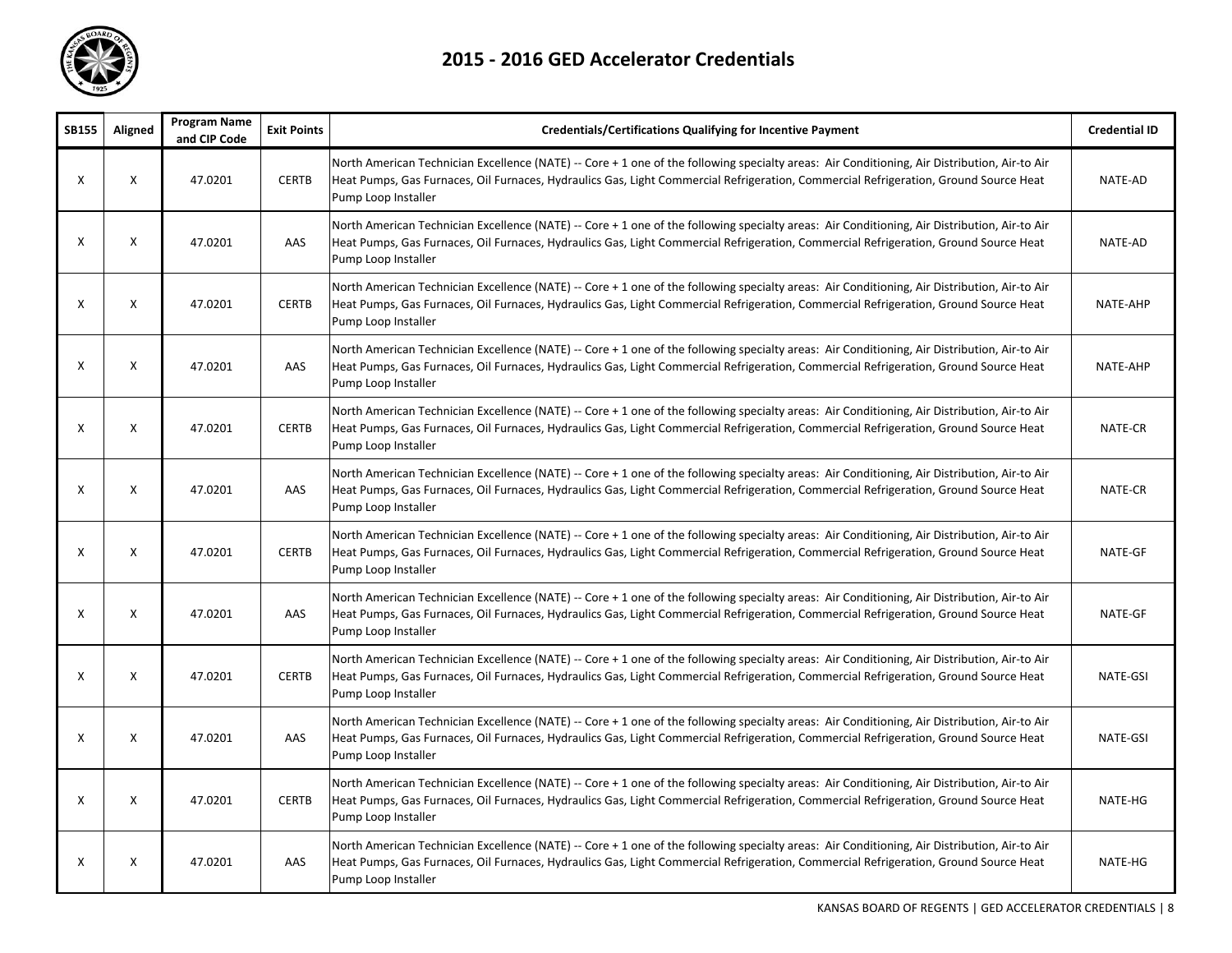

| <b>SB155</b> | Aligned | <b>Program Name</b><br>and CIP Code | <b>Exit Points</b> | <b>Credentials/Certifications Qualifying for Incentive Payment</b>                                                                                                                                                                                                                                          | <b>Credential ID</b> |
|--------------|---------|-------------------------------------|--------------------|-------------------------------------------------------------------------------------------------------------------------------------------------------------------------------------------------------------------------------------------------------------------------------------------------------------|----------------------|
| X            | X       | 47.0201                             | <b>CERTB</b>       | North American Technician Excellence (NATE) -- Core + 1 one of the following specialty areas: Air Conditioning, Air Distribution, Air-to Air<br>Heat Pumps, Gas Furnaces, Oil Furnaces, Hydraulics Gas, Light Commercial Refrigeration, Commercial Refrigeration, Ground Source Heat<br>Pump Loop Installer | NATE-AD              |
| X            | X       | 47.0201                             | AAS                | North American Technician Excellence (NATE) -- Core + 1 one of the following specialty areas: Air Conditioning, Air Distribution, Air-to Air<br>Heat Pumps, Gas Furnaces, Oil Furnaces, Hydraulics Gas, Light Commercial Refrigeration, Commercial Refrigeration, Ground Source Heat<br>Pump Loop Installer | NATE-AD              |
| X            | X       | 47.0201                             | <b>CERTB</b>       | North American Technician Excellence (NATE) -- Core + 1 one of the following specialty areas: Air Conditioning, Air Distribution, Air-to Air<br>Heat Pumps, Gas Furnaces, Oil Furnaces, Hydraulics Gas, Light Commercial Refrigeration, Commercial Refrigeration, Ground Source Heat<br>Pump Loop Installer | NATE-AHP             |
| X            | X       | 47.0201                             | AAS                | North American Technician Excellence (NATE) -- Core + 1 one of the following specialty areas: Air Conditioning, Air Distribution, Air-to Air<br>Heat Pumps, Gas Furnaces, Oil Furnaces, Hydraulics Gas, Light Commercial Refrigeration, Commercial Refrigeration, Ground Source Heat<br>Pump Loop Installer | NATE-AHP             |
| X            | X       | 47.0201                             | <b>CERTB</b>       | North American Technician Excellence (NATE) -- Core + 1 one of the following specialty areas: Air Conditioning, Air Distribution, Air-to Air<br>Heat Pumps, Gas Furnaces, Oil Furnaces, Hydraulics Gas, Light Commercial Refrigeration, Commercial Refrigeration, Ground Source Heat<br>Pump Loop Installer | NATE-CR              |
| X            | X       | 47.0201                             | AAS                | North American Technician Excellence (NATE) -- Core + 1 one of the following specialty areas: Air Conditioning, Air Distribution, Air-to Air<br>Heat Pumps, Gas Furnaces, Oil Furnaces, Hydraulics Gas, Light Commercial Refrigeration, Commercial Refrigeration, Ground Source Heat<br>Pump Loop Installer | NATE-CR              |
| X            | X       | 47.0201                             | <b>CERTB</b>       | North American Technician Excellence (NATE) -- Core + 1 one of the following specialty areas: Air Conditioning, Air Distribution, Air-to Air<br>Heat Pumps, Gas Furnaces, Oil Furnaces, Hydraulics Gas, Light Commercial Refrigeration, Commercial Refrigeration, Ground Source Heat<br>Pump Loop Installer | NATE-GF              |
| X            | X       | 47.0201                             | AAS                | North American Technician Excellence (NATE) -- Core + 1 one of the following specialty areas: Air Conditioning, Air Distribution, Air-to Air<br>Heat Pumps, Gas Furnaces, Oil Furnaces, Hydraulics Gas, Light Commercial Refrigeration, Commercial Refrigeration, Ground Source Heat<br>Pump Loop Installer | NATE-GF              |
| X            | X       | 47.0201                             | <b>CERTB</b>       | North American Technician Excellence (NATE) -- Core + 1 one of the following specialty areas: Air Conditioning, Air Distribution, Air-to Air<br>Heat Pumps, Gas Furnaces, Oil Furnaces, Hydraulics Gas, Light Commercial Refrigeration, Commercial Refrigeration, Ground Source Heat<br>Pump Loop Installer | NATE-GSI             |
| X            | X       | 47.0201                             | AAS                | North American Technician Excellence (NATE) -- Core + 1 one of the following specialty areas: Air Conditioning, Air Distribution, Air-to Air<br>Heat Pumps, Gas Furnaces, Oil Furnaces, Hydraulics Gas, Light Commercial Refrigeration, Commercial Refrigeration, Ground Source Heat<br>Pump Loop Installer | NATE-GSI             |
| X            | X       | 47.0201                             | <b>CERTB</b>       | North American Technician Excellence (NATE) -- Core + 1 one of the following specialty areas: Air Conditioning, Air Distribution, Air-to Air<br>Heat Pumps, Gas Furnaces, Oil Furnaces, Hydraulics Gas, Light Commercial Refrigeration, Commercial Refrigeration, Ground Source Heat<br>Pump Loop Installer | NATE-HG              |
| X            | X       | 47.0201                             | AAS                | North American Technician Excellence (NATE) -- Core + 1 one of the following specialty areas: Air Conditioning, Air Distribution, Air-to Air<br>Heat Pumps, Gas Furnaces, Oil Furnaces, Hydraulics Gas, Light Commercial Refrigeration, Commercial Refrigeration, Ground Source Heat<br>Pump Loop Installer | NATE-HG              |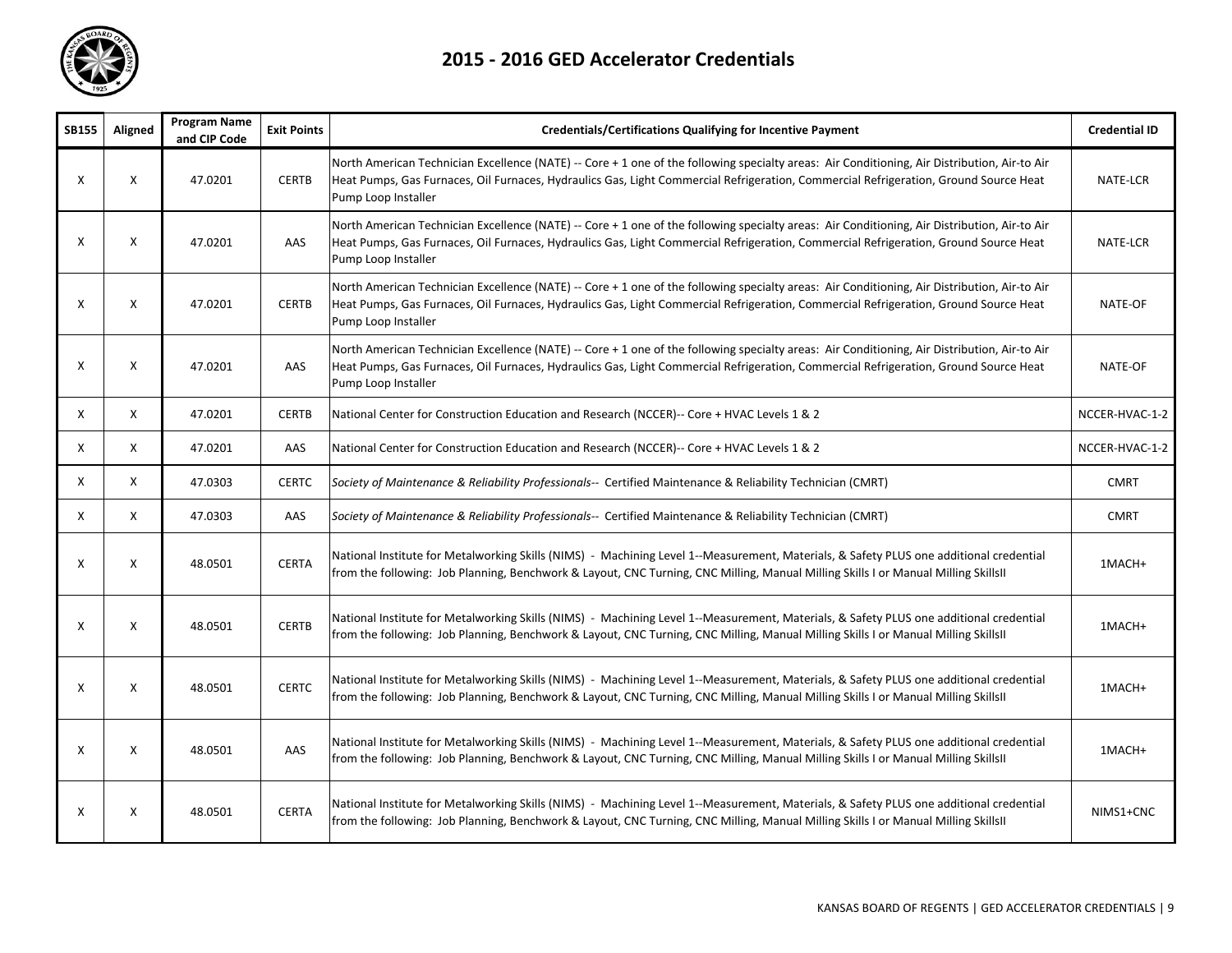

| SB155 | Aligned | <b>Program Name</b><br>and CIP Code | <b>Exit Points</b> | Credentials/Certifications Qualifying for Incentive Payment                                                                                                                                                                                                                                                 | <b>Credential ID</b> |
|-------|---------|-------------------------------------|--------------------|-------------------------------------------------------------------------------------------------------------------------------------------------------------------------------------------------------------------------------------------------------------------------------------------------------------|----------------------|
| X     | X       | 47.0201                             | <b>CERTB</b>       | North American Technician Excellence (NATE) -- Core + 1 one of the following specialty areas: Air Conditioning, Air Distribution, Air-to Air<br>Heat Pumps, Gas Furnaces, Oil Furnaces, Hydraulics Gas, Light Commercial Refrigeration, Commercial Refrigeration, Ground Source Heat<br>Pump Loop Installer | NATE-LCR             |
| X     | X       | 47.0201                             | AAS                | North American Technician Excellence (NATE) -- Core + 1 one of the following specialty areas: Air Conditioning, Air Distribution, Air-to Air<br>Heat Pumps, Gas Furnaces, Oil Furnaces, Hydraulics Gas, Light Commercial Refrigeration, Commercial Refrigeration, Ground Source Heat<br>Pump Loop Installer | NATE-LCR             |
| X     | X       | 47.0201                             | <b>CERTB</b>       | North American Technician Excellence (NATE) -- Core + 1 one of the following specialty areas: Air Conditioning, Air Distribution, Air-to Air<br>Heat Pumps, Gas Furnaces, Oil Furnaces, Hydraulics Gas, Light Commercial Refrigeration, Commercial Refrigeration, Ground Source Heat<br>Pump Loop Installer | NATE-OF              |
| X     | X       | 47.0201                             | AAS                | North American Technician Excellence (NATE) -- Core + 1 one of the following specialty areas: Air Conditioning, Air Distribution, Air-to Air<br>Heat Pumps, Gas Furnaces, Oil Furnaces, Hydraulics Gas, Light Commercial Refrigeration, Commercial Refrigeration, Ground Source Heat<br>Pump Loop Installer | NATE-OF              |
| Χ     | X       | 47.0201                             | <b>CERTB</b>       | National Center for Construction Education and Research (NCCER)-- Core + HVAC Levels 1 & 2                                                                                                                                                                                                                  | NCCER-HVAC-1-2       |
| X     | X       | 47.0201                             | AAS                | National Center for Construction Education and Research (NCCER)-- Core + HVAC Levels 1 & 2                                                                                                                                                                                                                  | NCCER-HVAC-1-2       |
| X     | X       | 47.0303                             | <b>CERTC</b>       | Society of Maintenance & Reliability Professionals-- Certified Maintenance & Reliability Technician (CMRT)                                                                                                                                                                                                  | <b>CMRT</b>          |
| X     | X       | 47.0303                             | AAS                | Society of Maintenance & Reliability Professionals-- Certified Maintenance & Reliability Technician (CMRT)                                                                                                                                                                                                  | <b>CMRT</b>          |
| X     | X       | 48.0501                             | <b>CERTA</b>       | National Institute for Metalworking Skills (NIMS) - Machining Level 1--Measurement, Materials, & Safety PLUS one additional credential<br>from the following: Job Planning, Benchwork & Layout, CNC Turning, CNC Milling, Manual Milling Skills I or Manual Milling Skills II                               | 1MACH+               |
| X     | X       | 48.0501                             | <b>CERTB</b>       | National Institute for Metalworking Skills (NIMS) - Machining Level 1--Measurement, Materials, & Safety PLUS one additional credential<br>from the following: Job Planning, Benchwork & Layout, CNC Turning, CNC Milling, Manual Milling Skills I or Manual Milling SkillsII                                | 1MACH+               |
| X     | X       | 48.0501                             | <b>CERTC</b>       | National Institute for Metalworking Skills (NIMS) - Machining Level 1--Measurement, Materials, & Safety PLUS one additional credential<br>from the following: Job Planning, Benchwork & Layout, CNC Turning, CNC Milling, Manual Milling Skills I or Manual Milling SkillsII                                | 1MACH+               |
| Х     | X       | 48.0501                             | AAS                | National Institute for Metalworking Skills (NIMS) - Machining Level 1--Measurement, Materials, & Safety PLUS one additional credential<br>from the following: Job Planning, Benchwork & Layout, CNC Turning, CNC Milling, Manual Milling Skills I or Manual Milling SkillsII                                | 1MACH+               |
| х     | X       | 48.0501                             | <b>CERTA</b>       | National Institute for Metalworking Skills (NIMS) - Machining Level 1--Measurement, Materials, & Safety PLUS one additional credential<br>from the following: Job Planning, Benchwork & Layout, CNC Turning, CNC Milling, Manual Milling Skills I or Manual Milling SkillsII                                | NIMS1+CNC            |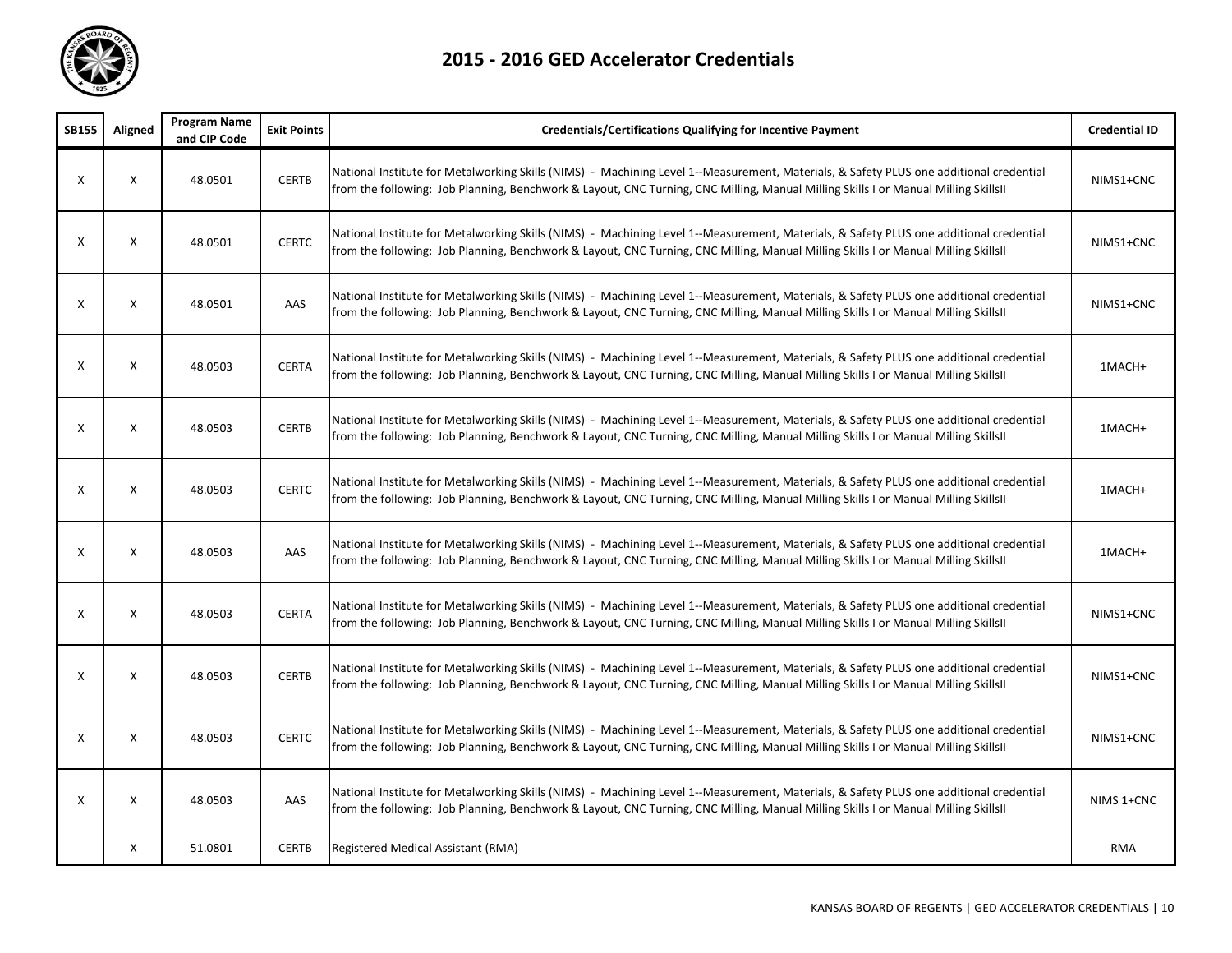

| <b>SB155</b> | Aligned | <b>Program Name</b><br>and CIP Code | <b>Exit Points</b> | <b>Credentials/Certifications Qualifying for Incentive Payment</b>                                                                                                                                                                                                            | <b>Credential ID</b> |
|--------------|---------|-------------------------------------|--------------------|-------------------------------------------------------------------------------------------------------------------------------------------------------------------------------------------------------------------------------------------------------------------------------|----------------------|
| X            | X       | 48.0501                             | <b>CERTB</b>       | National Institute for Metalworking Skills (NIMS) - Machining Level 1--Measurement, Materials, & Safety PLUS one additional credential<br>from the following: Job Planning, Benchwork & Layout, CNC Turning, CNC Milling, Manual Milling Skills I or Manual Milling SkillsII  | NIMS1+CNC            |
| X            | X       | 48.0501                             | <b>CERTC</b>       | National Institute for Metalworking Skills (NIMS) - Machining Level 1--Measurement, Materials, & Safety PLUS one additional credential<br>from the following: Job Planning, Benchwork & Layout, CNC Turning, CNC Milling, Manual Milling Skills I or Manual Milling SkillsII  | NIMS1+CNC            |
| Χ            | X       | 48.0501                             | AAS                | National Institute for Metalworking Skills (NIMS) - Machining Level 1--Measurement, Materials, & Safety PLUS one additional credential<br>from the following: Job Planning, Benchwork & Layout, CNC Turning, CNC Milling, Manual Milling Skills I or Manual Milling Skills II | NIMS1+CNC            |
| Χ            | X       | 48.0503                             | <b>CERTA</b>       | National Institute for Metalworking Skills (NIMS) - Machining Level 1--Measurement, Materials, & Safety PLUS one additional credential<br>from the following: Job Planning, Benchwork & Layout, CNC Turning, CNC Milling, Manual Milling Skills I or Manual Milling Skills II | 1MACH+               |
| Х            | X       | 48.0503                             | <b>CERTB</b>       | National Institute for Metalworking Skills (NIMS) - Machining Level 1--Measurement, Materials, & Safety PLUS one additional credential<br>from the following: Job Planning, Benchwork & Layout, CNC Turning, CNC Milling, Manual Milling Skills I or Manual Milling SkillsII  | 1MACH+               |
| Χ            | X       | 48.0503                             | <b>CERTC</b>       | National Institute for Metalworking Skills (NIMS) - Machining Level 1--Measurement, Materials, & Safety PLUS one additional credential<br>from the following: Job Planning, Benchwork & Layout, CNC Turning, CNC Milling, Manual Milling Skills I or Manual Milling SkillsII  | 1MACH+               |
| Χ            | X       | 48.0503                             | AAS                | National Institute for Metalworking Skills (NIMS) - Machining Level 1--Measurement, Materials, & Safety PLUS one additional credential<br>from the following: Job Planning, Benchwork & Layout, CNC Turning, CNC Milling, Manual Milling Skills I or Manual Milling Skills II | 1MACH+               |
| Χ            | X       | 48.0503                             | <b>CERTA</b>       | National Institute for Metalworking Skills (NIMS) - Machining Level 1--Measurement, Materials, & Safety PLUS one additional credential<br>from the following: Job Planning, Benchwork & Layout, CNC Turning, CNC Milling, Manual Milling Skills I or Manual Milling SkillsII  | NIMS1+CNC            |
| $\mathsf{x}$ | X       | 48.0503                             | <b>CERTB</b>       | National Institute for Metalworking Skills (NIMS) - Machining Level 1--Measurement, Materials, & Safety PLUS one additional credential<br>from the following: Job Planning, Benchwork & Layout, CNC Turning, CNC Milling, Manual Milling Skills I or Manual Milling SkillsII  | NIMS1+CNC            |
| Χ            | X       | 48.0503                             | <b>CERTC</b>       | National Institute for Metalworking Skills (NIMS) - Machining Level 1--Measurement, Materials, & Safety PLUS one additional credential<br>from the following: Job Planning, Benchwork & Layout, CNC Turning, CNC Milling, Manual Milling Skills I or Manual Milling Skills II | NIMS1+CNC            |
| X            | X       | 48.0503                             | AAS                | National Institute for Metalworking Skills (NIMS) - Machining Level 1--Measurement, Materials, & Safety PLUS one additional credential<br>from the following: Job Planning, Benchwork & Layout, CNC Turning, CNC Milling, Manual Milling Skills I or Manual Milling SkillsII  | NIMS 1+CNC           |
|              | X       | 51.0801                             | <b>CERTB</b>       | Registered Medical Assistant (RMA)                                                                                                                                                                                                                                            | <b>RMA</b>           |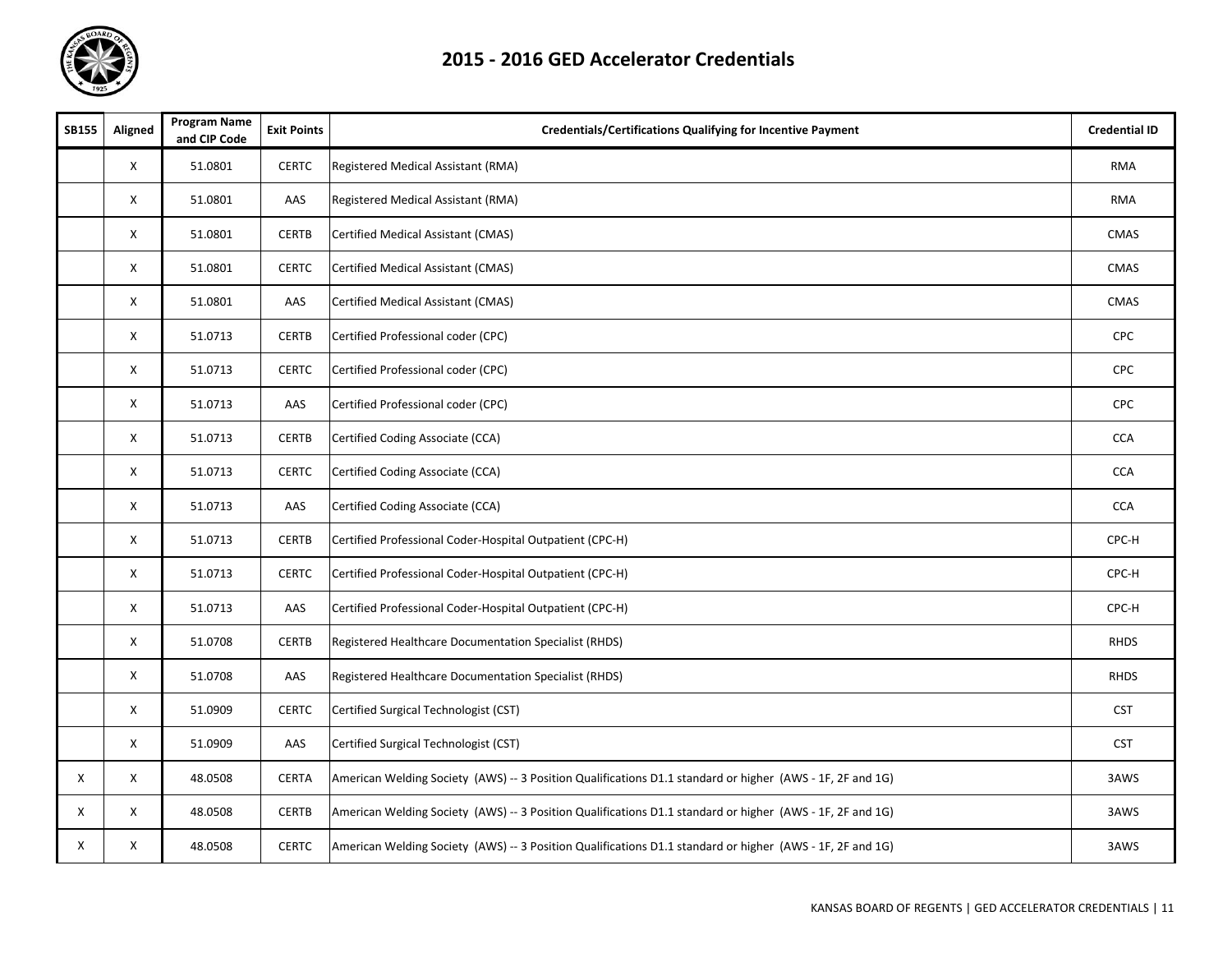

| <b>SB155</b> | Aligned | <b>Program Name</b><br>and CIP Code | <b>Exit Points</b> | <b>Credentials/Certifications Qualifying for Incentive Payment</b>                                        | <b>Credential ID</b> |
|--------------|---------|-------------------------------------|--------------------|-----------------------------------------------------------------------------------------------------------|----------------------|
|              | X       | 51.0801                             | <b>CERTC</b>       | Registered Medical Assistant (RMA)                                                                        | <b>RMA</b>           |
|              | X       | 51.0801                             | AAS                | Registered Medical Assistant (RMA)                                                                        | <b>RMA</b>           |
|              | X       | 51.0801                             | <b>CERTB</b>       | Certified Medical Assistant (CMAS)                                                                        | CMAS                 |
|              | X       | 51.0801                             | <b>CERTC</b>       | Certified Medical Assistant (CMAS)                                                                        | CMAS                 |
|              | X       | 51.0801                             | AAS                | Certified Medical Assistant (CMAS)                                                                        | CMAS                 |
|              | X       | 51.0713                             | <b>CERTB</b>       | Certified Professional coder (CPC)                                                                        | <b>CPC</b>           |
|              | X       | 51.0713                             | <b>CERTC</b>       | Certified Professional coder (CPC)                                                                        | CPC                  |
|              | X       | 51.0713                             | AAS                | Certified Professional coder (CPC)                                                                        | <b>CPC</b>           |
|              | X       | 51.0713                             | <b>CERTB</b>       | Certified Coding Associate (CCA)                                                                          | <b>CCA</b>           |
|              | X       | 51.0713                             | <b>CERTC</b>       | Certified Coding Associate (CCA)                                                                          | <b>CCA</b>           |
|              | X       | 51.0713                             | AAS                | Certified Coding Associate (CCA)                                                                          | CCA                  |
|              | X       | 51.0713                             | <b>CERTB</b>       | Certified Professional Coder-Hospital Outpatient (CPC-H)                                                  | CPC-H                |
|              | X       | 51.0713                             | <b>CERTC</b>       | Certified Professional Coder-Hospital Outpatient (CPC-H)                                                  | CPC-H                |
|              | X       | 51.0713                             | AAS                | Certified Professional Coder-Hospital Outpatient (CPC-H)                                                  | CPC-H                |
|              | X       | 51.0708                             | <b>CERTB</b>       | <b>Registered Healthcare Documentation Specialist (RHDS)</b>                                              | <b>RHDS</b>          |
|              | X       | 51.0708                             | AAS                | <b>Registered Healthcare Documentation Specialist (RHDS)</b>                                              | <b>RHDS</b>          |
|              | X       | 51.0909                             | <b>CERTC</b>       | Certified Surgical Technologist (CST)                                                                     | <b>CST</b>           |
|              | X       | 51.0909                             | AAS                | Certified Surgical Technologist (CST)                                                                     | <b>CST</b>           |
| X            | X       | 48.0508                             | <b>CERTA</b>       | American Welding Society (AWS) -- 3 Position Qualifications D1.1 standard or higher (AWS - 1F, 2F and 1G) | 3AWS                 |
| X            | X       | 48.0508                             | <b>CERTB</b>       | American Welding Society (AWS) -- 3 Position Qualifications D1.1 standard or higher (AWS - 1F, 2F and 1G) | 3AWS                 |
| Χ            | X       | 48.0508                             | <b>CERTC</b>       | American Welding Society (AWS) -- 3 Position Qualifications D1.1 standard or higher (AWS - 1F, 2F and 1G) | 3AWS                 |